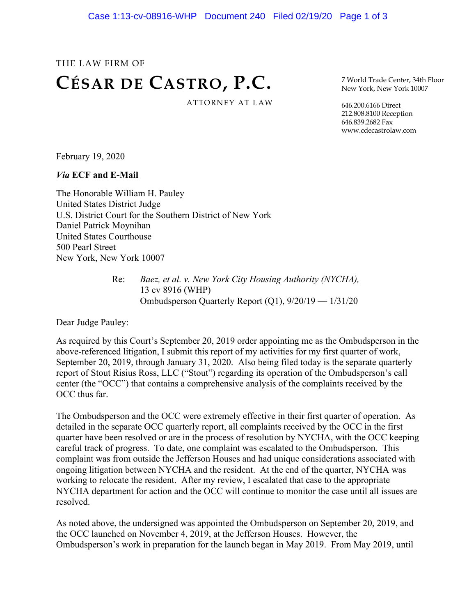## THE LAW FIRM OF **CÉSAR DE CASTRO, P.C.** ATTORNEY AT LAW

7 World Trade Center, 34th Floor New York, New York 10007

646.200.6166 Direct 212.808.8100 Reception 646.839.2682 Fax www.cdecastrolaw.com

February 19, 2020

*Via* **ECF and E-Mail**

The Honorable William H. Pauley United States District Judge U.S. District Court for the Southern District of New York Daniel Patrick Moynihan United States Courthouse 500 Pearl Street New York, New York 10007

> Re: *Baez, et al. v. New York City Housing Authority (NYCHA),* 13 cv 8916 (WHP) Ombudsperson Quarterly Report (Q1), 9/20/19 — 1/31/20

Dear Judge Pauley:

As required by this Court's September 20, 2019 order appointing me as the Ombudsperson in the above-referenced litigation, I submit this report of my activities for my first quarter of work, September 20, 2019, through January 31, 2020. Also being filed today is the separate quarterly report of Stout Risius Ross, LLC ("Stout") regarding its operation of the Ombudsperson's call center (the "OCC") that contains a comprehensive analysis of the complaints received by the OCC thus far.

The Ombudsperson and the OCC were extremely effective in their first quarter of operation. As detailed in the separate OCC quarterly report, all complaints received by the OCC in the first quarter have been resolved or are in the process of resolution by NYCHA, with the OCC keeping careful track of progress. To date, one complaint was escalated to the Ombudsperson. This complaint was from outside the Jefferson Houses and had unique considerations associated with ongoing litigation between NYCHA and the resident. At the end of the quarter, NYCHA was working to relocate the resident. After my review, I escalated that case to the appropriate NYCHA department for action and the OCC will continue to monitor the case until all issues are resolved.

As noted above, the undersigned was appointed the Ombudsperson on September 20, 2019, and the OCC launched on November 4, 2019, at the Jefferson Houses. However, the Ombudsperson's work in preparation for the launch began in May 2019. From May 2019, until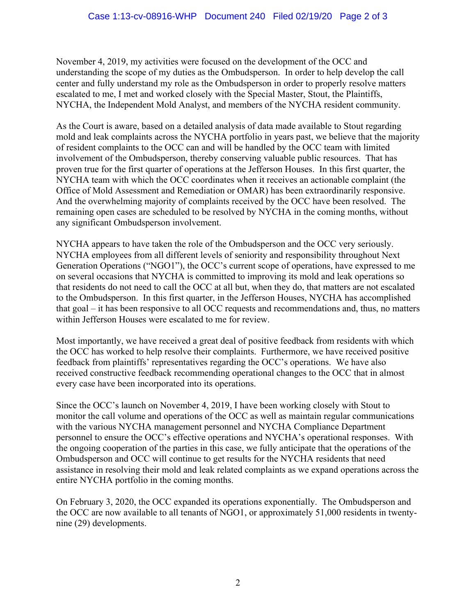November 4, 2019, my activities were focused on the development of the OCC and understanding the scope of my duties as the Ombudsperson. In order to help develop the call center and fully understand my role as the Ombudsperson in order to properly resolve matters escalated to me, I met and worked closely with the Special Master, Stout, the Plaintiffs, NYCHA, the Independent Mold Analyst, and members of the NYCHA resident community.

As the Court is aware, based on a detailed analysis of data made available to Stout regarding mold and leak complaints across the NYCHA portfolio in years past, we believe that the majority of resident complaints to the OCC can and will be handled by the OCC team with limited involvement of the Ombudsperson, thereby conserving valuable public resources. That has proven true for the first quarter of operations at the Jefferson Houses. In this first quarter, the NYCHA team with which the OCC coordinates when it receives an actionable complaint (the Office of Mold Assessment and Remediation or OMAR) has been extraordinarily responsive. And the overwhelming majority of complaints received by the OCC have been resolved. The remaining open cases are scheduled to be resolved by NYCHA in the coming months, without any significant Ombudsperson involvement.

NYCHA appears to have taken the role of the Ombudsperson and the OCC very seriously. NYCHA employees from all different levels of seniority and responsibility throughout Next Generation Operations ("NGO1"), the OCC's current scope of operations, have expressed to me on several occasions that NYCHA is committed to improving its mold and leak operations so that residents do not need to call the OCC at all but, when they do, that matters are not escalated to the Ombudsperson. In this first quarter, in the Jefferson Houses, NYCHA has accomplished that goal – it has been responsive to all OCC requests and recommendations and, thus, no matters within Jefferson Houses were escalated to me for review.

Most importantly, we have received a great deal of positive feedback from residents with which the OCC has worked to help resolve their complaints. Furthermore, we have received positive feedback from plaintiffs' representatives regarding the OCC's operations. We have also received constructive feedback recommending operational changes to the OCC that in almost every case have been incorporated into its operations.

Since the OCC's launch on November 4, 2019, I have been working closely with Stout to monitor the call volume and operations of the OCC as well as maintain regular communications with the various NYCHA management personnel and NYCHA Compliance Department personnel to ensure the OCC's effective operations and NYCHA's operational responses. With the ongoing cooperation of the parties in this case, we fully anticipate that the operations of the Ombudsperson and OCC will continue to get results for the NYCHA residents that need assistance in resolving their mold and leak related complaints as we expand operations across the entire NYCHA portfolio in the coming months.

On February 3, 2020, the OCC expanded its operations exponentially. The Ombudsperson and the OCC are now available to all tenants of NGO1, or approximately 51,000 residents in twentynine (29) developments.